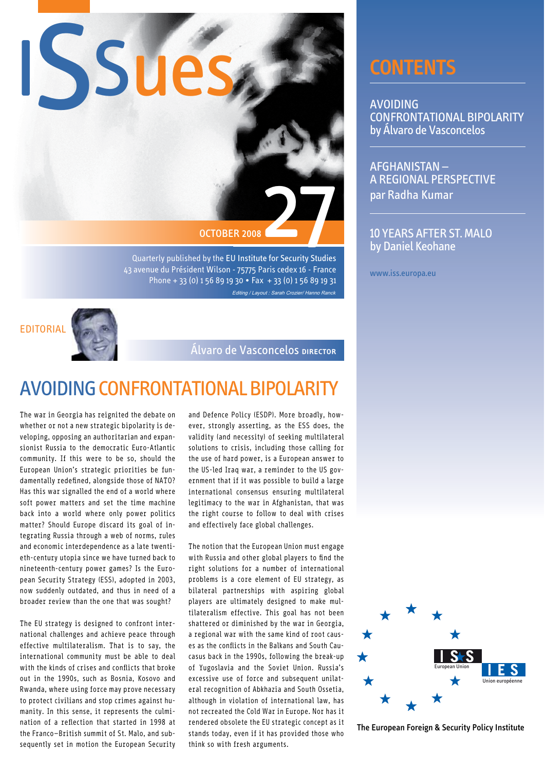

Quarterly published by the EU Institute for Security Studies 43 avenue du Président Wilson - 75775 Paris cedex 16 - France Phone + 33 (0) 1 56 89 19 30 . Fax + 33 (0) 1 56 89 19 31 Editing / Layout : Sarah Crozier/ Hanno Ranck



Álvaro de Vasconcelos DIRECTOR

# **AVOIDING CONFRONTATIONAL BIPOLARITY**

The war in Georgia has reignited the debate on whether or not a new strategic bipolarity is developing, opposing an authoritarian and expansionist Russia to the democratic Euro-Atlantic community. If this were to be so, should the European Union's strategic priorities be fundamentally redefined, alongside those of NATO? Has this war signalled the end of a world where soft power matters and set the time machine back into a world where only power politics matter? Should Europe discard its goal of integrating Russia through a web of norms, rules and economic interdependence as a late twentieth-century utopia since we have turned back to nineteenth-century power games? Is the European Security Strategy (ESS), adopted in 2003, now suddenly outdated, and thus in need of a broader review than the one that was sought?

The EU strategy is designed to confront international challenges and achieve peace through effective multilateralism. That is to say, the international community must be able to deal with the kinds of crises and conflicts that broke out in the 1990s, such as Bosnia, Kosovo and Rwanda, where using force may prove necessary to protect civilians and stop crimes against humanity. In this sense, it represents the culmination of a reflection that started in 1998 at the Franco-British summit of St. Malo, and subsequently set in motion the European Security and Defence Policy (ESDP). More broadly, however, strongly asserting, as the ESS does, the validity (and necessity) of seeking multilateral solutions to crisis, including those calling for the use of hard power, is a European answer to the US-led Irag war, a reminder to the US government that if it was possible to build a large international consensus ensuring multilateral legitimacy to the war in Afghanistan, that was the right course to follow to deal with crises and effectively face global challenges.

The notion that the European Union must engage with Russia and other global players to find the right solutions for a number of international problems is a core element of EU strategy, as bilateral partnerships with aspiring global players are ultimately designed to make multilateralism effective. This goal has not been shattered or diminished by the war in Georgia, a regional war with the same kind of root causes as the conflicts in the Balkans and South Caucasus back in the 1990s, following the break-up of Yugoslavia and the Soviet Union. Russia's excessive use of force and subsequent unilateral recognition of Abkhazia and South Ossetia. although in violation of international law, has not recreated the Cold War in Europe. Nor has it rendered obsolete the EU strategic concept as it stands today, even if it has provided those who think so with fresh arguments.

# **CONTENTS**

**AVOIDING CONFRONTATIONAL BIPOLARITY** by Álvaro de Vasconcelos

**AFGHANISTAN-**A REGIONAL PERSPECTIVE par Radha Kumar

**10 YEARS AFTER ST. MALO** by Daniel Keohane

www.iss.europa.eu



The European Foreign & Security Policy Institute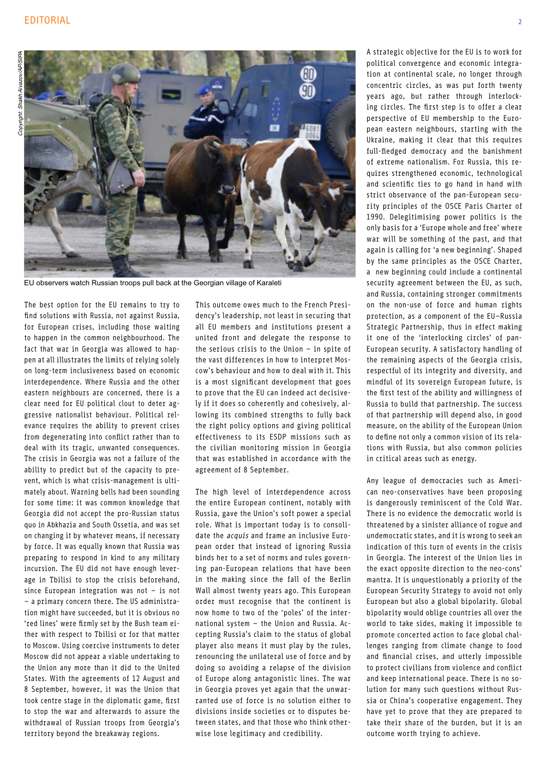

EU observers watch Russian troops pull back at the Georgian village of Karaleti

The best option for the EU remains to try to find solutions with Russia, not against Russia, for European crises, including those waiting to happen in the common neighbourhood. The fact that war in Georgia was allowed to happen at all illustrates the limits of relying solely on long-term inclusiveness based on economic interdependence. Where Russia and the other eastern neighbours are concerned, there is a clear need for EU political clout to deter aggressive nationalist behaviour. Political relevance requires the ability to prevent crises from degenerating into conflict rather than to deal with its tragic, unwanted consequences. The crisis in Georgia was not a failure of the ability to predict but of the capacity to prevent, which is what crisis-management is ultimately about. Warning bells had been sounding for some time: it was common knowledge that Georgia did not accept the pro-Russian status quo in Abkhazia and South Ossetia, and was set on changing it by whatever means, if necessary by force. It was equally known that Russia was preparing to respond in kind to any military incursion. The EU did not have enough leverage in Tbilisi to stop the crisis beforehand, since European integration was not  $-$  is not - a primary concern there. The US administration might have succeeded, but it is obvious no 'red lines' were firmly set by the Bush team either with respect to Tbilisi or for that matter to Moscow, Using coercive instruments to deter Moscow did not appear a viable undertaking to the Union any more than it did to the United States. With the agreements of 12 August and 8 September, however, it was the Union that took centre stage in the diplomatic game, first to stop the war and afterwards to assure the withdrawal of Russian troops from Georgia's territory beyond the breakaway regions.

This outcome owes much to the French Presidency's leadership, not least in securing that all EU members and institutions present a united front and delegate the response to the serious crisis to the Union  $-$  in spite of the vast differences in how to interpret Moscow's behaviour and how to deal with it. This is a most significant development that goes to prove that the EU can indeed act decisively if it does so coherently and cohesively, allowing its combined strengths to fully back the right policy options and giving political effectiveness to its ESDP missions such as the civilian monitoring mission in Georgia that was established in accordance with the agreement of 8 September.

The high level of interdependence across the entire European continent, notably with Russia, gave the Union's soft power a special role. What is important today is to consolidate the *acquis* and frame an inclusive European order that instead of ignoring Russia binds her to a set of norms and rules governing pan-European relations that have been in the making since the fall of the Berlin Wall almost twenty years ago. This European order must recognise that the continent is now home to two of the 'poles' of the international system - the Union and Russia. Accepting Russia's claim to the status of global player also means it must play by the rules. renouncing the unilateral use of force and by doing so avoiding a relapse of the division of Europe along antagonistic lines. The war in Georgia proves vet again that the unwarranted use of force is no solution either to divisions inside societies or to disputes between states, and that those who think otherwise lose legitimacy and credibility.

A strategic objective for the EU is to work for political convergence and economic integration at continental scale, no longer through concentric circles, as was put forth twenty years ago, but rather through interlocking circles. The first step is to offer a clear perspective of EU membership to the European eastern neighbours, starting with the Ukraine, making it clear that this requires full-fledged democracy and the banishment of extreme nationalism. For Russia, this requires strengthened economic, technological and scientific ties to go hand in hand with strict observance of the pan-European security principles of the OSCE Paris Charter of 1990. Delegitimising power politics is the only basis for a 'Europe whole and free' where war will be something of the past, and that again is calling for 'a new beginning'. Shaped by the same principles as the OSCE Charter, a new beginning could include a continental security agreement between the EU, as such, and Russia, containing stronger commitments on the non-use of force and human rights protection, as a component of the EU-Russia Strategic Partnership, thus in effect making it one of the 'interlocking circles' of pan-European security. A satisfactory handling of the remaining aspects of the Georgia crisis. respectful of its integrity and diversity, and mindful of its sovereign European future, is the first test of the ability and willingness of Russia to build that partnership. The success of that partnership will depend also, in good measure, on the ability of the European Union to define not only a common vision of its relations with Russia, but also common policies in critical areas such as energy.

Any league of democracies such as American neo-conservatives have been proposing is dangerously reminiscent of the Cold War. There is no evidence the democratic world is threatened by a sinister alliance of rogue and undemocratic states, and it is wrong to seek an indication of this turn of events in the crisis in Georgia. The interest of the Union lies in the exact opposite direction to the neo-cons' mantra. It is unquestionably a priority of the European Security Strategy to avoid not only European but also a global bipolarity, Global bipolarity would oblige countries all over the world to take sides, making it impossible to promote concerted action to face global challenges ranging from climate change to food and financial crises, and utterly impossible to protect civilians from violence and conflict and keep international peace. There is no solution for many such questions without Russia or China's cooperative engagement. They have yet to prove that they are prepared to take their share of the burden, but it is an outcome worth trying to achieve.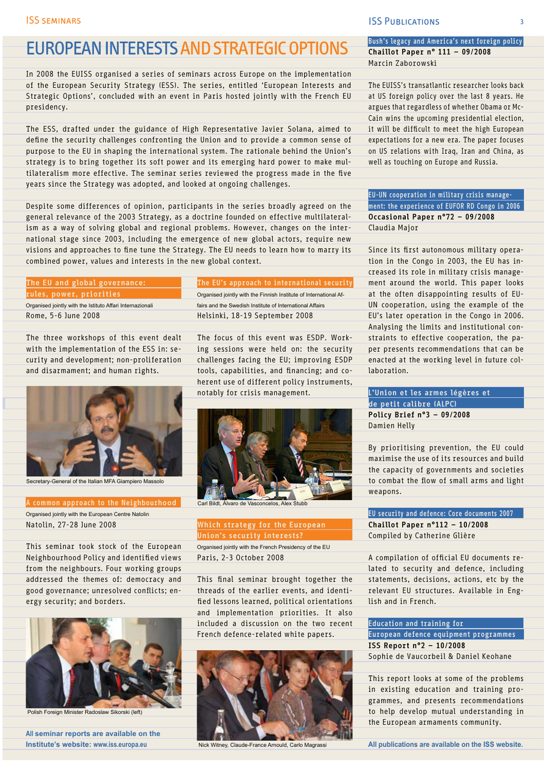## **EUROPEAN INTERESTS AND STRATEGIC OPTIONS**

In 2008 the EUISS organised a series of seminars across Europe on the implementation of the European Security Strategy (ESS). The series, entitled 'European Interests and Strategic Options', concluded with an event in Paris hosted jointly with the French EU presidency.

The ESS, drafted under the guidance of High Representative Javier Solana, aimed to define the security challenges confronting the Union and to provide a common sense of purpose to the EU in shaping the international system. The rationale behind the Union's strategy is to bring together its soft power and its emerging hard power to make multilateralism more effective. The seminar series reviewed the progress made in the five years since the Strategy was adopted, and looked at ongoing challenges.

Despite some differences of opinion, participants in the series broadly agreed on the general relevance of the 2003 Strategy, as a doctrine founded on effective multilateralism as a way of solving global and regional problems. However, changes on the international stage since 2003, including the emergence of new global actors, require new visions and approaches to fine tune the Strategy. The EU needs to learn how to marry its combined power, values and interests in the new global context.

### The EU and global governance: rules, power, priorities

Organised jointly with the Istituto Affari Internazionali Rome, 5-6 June 2008

The three workshops of this event dealt with the implementation of the ESS in: security and development; non-proliferation and disarmament; and human rights.



Secretary-General of the Italian MFA Giampiero Massolo

A common approach to the Neighbourhood Organised jointly with the European Centre Natolin Natolin, 27-28 June 2008

This seminar took stock of the European Neighbourhood Policy and identified views from the neighbours. Four working groups addressed the themes of: democracy and good governance; unresolved conflicts; energy security; and borders.



Polish Foreign Minister Radoslaw Sikorski (left)

All seminar reports are available on the Institute's website: www.iss.europa.eu

## The EU's approach to international security Organised jointly with the Finnish Institute of International Af-

fairs and the Swedish Institute of International Affairs Helsinki, 18-19 September 2008

The focus of this event was ESDP. Working sessions were held on: the security challenges facing the EU; improving ESDP tools, capabilities, and financing; and coherent use of different policy instruments, notably for crisis management.



Carl Bildt, Álvaro d

### Which strategy for the European Union's security interests?

Organised jointly with the French Presidency of the EU Paris, 2-3 October 2008

This final seminar brought together the threads of the earlier events, and identified lessons learned, political orientations and implementation priorities. It also included a discussion on the two recent French defence-related white papers.



Nick Witney, Claude-France Arnould, Carlo Magrass

#### **ISS PUBLICATIONS**

The EUISS's transatlantic researcher looks back at US foreign policy over the last 8 years. He argues that regardless of whether Obama or Mc-Cain wins the upcoming presidential election, it will be difficult to meet the high European expectations for a new era. The paper focuses on US relations with Iraq, Iran and China, as well as touching on Europe and Russia.

EU-UN cooperation in military crisis management: the experience of EUFOR RD Congo in 2006 Occasional Paper n°72 - 09/2008 Claudia Major

Since its first autonomous military operation in the Congo in 2003, the EU has increased its role in military crisis management around the world. This paper looks at the often disappointing results of EU-UN cooperation, using the example of the EU's later operation in the Congo in 2006. Analysing the limits and institutional constraints to effective cooperation, the paper presents recommendations that can be enacted at the working level in future collaboration.

L'Union et les armes légères et de petit calibre (ALPC) Policy Brief n°3 - 09/2008 Damien Helly

By prioritising prevention, the EU could maximise the use of its resources and build the capacity of governments and societies to combat the flow of small arms and light weapons.

EU security and defence: Core documents 2007 Chaillot Paper  $n^{\circ}112 - 10/2008$ Compiled by Catherine Glière

A compilation of official EU documents related to security and defence, including statements, decisions, actions, etc by the relevant EU structures. Available in English and in French.

**Education and training for** European defence equipment programmes ISS Report  $n^o2 - 10/2008$ Sophie de Vaucorbeil & Daniel Keohane

This report looks at some of the problems in existing education and training programmes, and presents recommendations to help develop mutual understanding in the European armaments community.

All publications are available on the ISS website.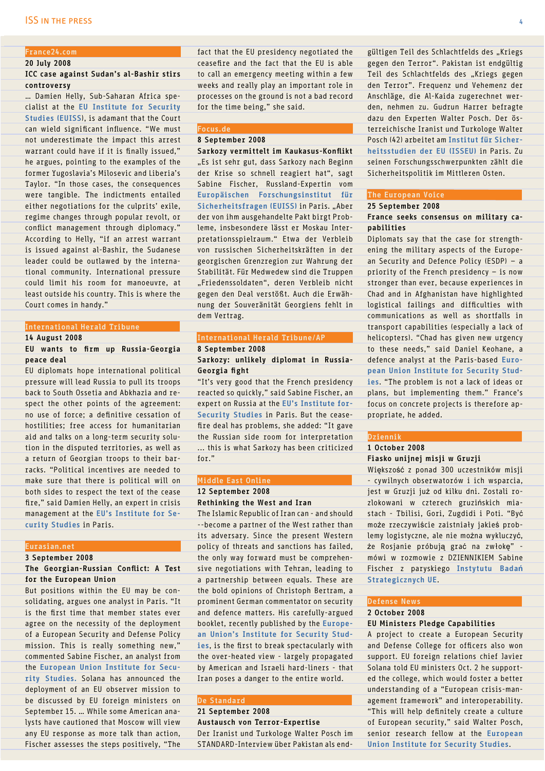## France24.com

### 20 July 2008

### ICC case against Sudan's al-Bashir stirs controversy

... Damien Helly, Sub-Saharan Africa specialist at the EU Institute for Security Studies (EUISS), is adamant that the Court can wield significant influence. "We must not underestimate the impact this arrest warrant could have if it is finally issued," he argues, pointing to the examples of the former Yugoslavia's Milosevic and Liberia's Taylor. "In those cases, the consequences were tangible. The indictments entailed either negotiations for the culprits' exile, regime changes through popular revolt, or conflict management through diplomacy." According to Helly, "if an arrest warrant is issued against al-Bashir, the Sudanese leader could be outlawed by the international community. International pressure could limit his room for manoeuvre, at least outside his country. This is where the Court comes in handy."

#### **International Herald Tribune**

#### **14 August 2008**

#### EU wants to firm up Russia-Georgia peace deal

EU diplomats hope international political pressure will lead Russia to pull its troops back to South Ossetia and Abkhazia and respect the other points of the agreement: no use of force; a definitive cessation of hostilities; free access for humanitarian aid and talks on a long-term security solution in the disputed territories, as well as a return of Georgian troops to their barracks. "Political incentives are needed to make sure that there is political will on both sides to respect the text of the cease fire," said Damien Helly, an expert in crisis management at the EU's Institute for Security Studies in Paris.

#### Eurasian.net

#### 3 September 2008

### The Georgian-Russian Conflict: A Test for the European Union

But positions within the EU may be consolidating, argues one analyst in Paris. "It is the first time that member states ever agree on the necessity of the deployment of a European Security and Defense Policy mission. This is really something new," commented Sabine Fischer, an analyst from the European Union Institute for Security Studies. Solana has announced the deployment of an EU observer mission to be discussed by EU foreign ministers on September 15. ... While some American analysts have cautioned that Moscow will view any EU response as more talk than action, Fischer assesses the steps positively, "The fact that the EU presidency negotiated the ceasefire and the fact that the EU is able to call an emergency meeting within a few weeks and really play an important role in processes on the ground is not a bad record for the time being," she said.

#### Focus.de 8 September 2008

Sarkozy vermittelt im Kaukasus-Konflikt "Es ist sehr gut, dass Sarkozy nach Beginn der Krise so schnell reagiert hat", sagt Sabine Fischer, Russland-Expertin vom Europäischen Forschungsinstitut für Sicherheitsfragen (EUISS) in Paris. "Aber der von ihm ausgehandelte Pakt birgt Probleme, insbesondere lässt er Moskau Interpretationsspielraum." Etwa der Verbleib von russischen Sicherheitskräften in der georgischen Grenzregion zur Wahrung der Stabilität. Für Medwedew sind die Truppen "Friedenssoldaten", deren Verbleib nicht gegen den Deal verstößt. Auch die Erwähnung der Souveränität Georgiens fehlt in dem Vertrag.

#### International Herald Tribune/AP 8 September 2008

### Sarkozy: unlikely diplomat in Russia-Georgia fight

"It's very good that the French presidency reacted so quickly," said Sabine Fischer, an expert on Russia at the EU's Institute for-Security Studies in Paris. But the ceasefire deal has problems, she added: "It gave the Russian side room for interpretation ... this is what Sarkozy has been criticized for  $"$ 

#### Middle East Online

## 12 September 2008

#### **Rethinking the West and Iran**

The Islamic Republic of Iran can - and should --become a partner of the West rather than its adversary. Since the present Western policy of threats and sanctions has failed, the only way forward must be comprehensive negotiations with Tehran, leading to a partnership between equals. These are the bold opinions of Christoph Bertram, a prominent German commentator on security and defence matters. His carefully-argued booklet, recently published by the European Union's Institute for Security Studies, is the first to break spectacularly with the over-heated view - largely propagated by American and Israeli hard-liners - that Iran poses a danger to the entire world.

#### **De Standard**

## 21 September 2008 Austausch von Terror-Expertise Der Iranist und Turkologe Walter Posch im

STANDARD-Interview über Pakistan als end-

gültigen Teil des Schlachtfelds des "Kriegs gegen den Terror". Pakistan ist endgültig Teil des Schlachtfelds des "Kriegs gegen den Terror". Frequenz und Vehemenz der Anschläge, die Al-Kaida zugerechnet werden, nehmen zu. Gudrun Harrer befragte dazu den Experten Walter Posch. Der österreichische Iranist und Turkologe Walter Posch (42) arbeitet am Institut für Sicherheitsstudien der EU (ISSEU) in Paris. Zu seinen Forschungsschwerpunkten zählt die Sicherheitspolitik im Mittleren Osten.

## The European Voice

#### 25 September 2008

#### France seeks consensus on military capabilities

Diplomats say that the case for strengthening the military aspects of the European Security and Defence Policy (ESDP)  $-$  a priority of the French presidency  $-$  is now stronger than ever, because experiences in Chad and in Afghanistan have highlighted logistical failings and difficulties with communications as well as shortfalls in transport capabilities (especially a lack of helicopters). "Chad has given new urgency to these needs," said Daniel Keohane, a defence analyst at the Paris-based European Union Institute for Security Studies. "The problem is not a lack of ideas or plans, but implementing them." France's focus on concrete projects is therefore appropriate, he added.

#### Dziennik

#### 1 October 2008 Fiasko unijnej misji w Gruzji

Większość z ponad 300 uczestników misji - cywilnych obserwatorów i ich wsparcia, jest w Gruzji już od kilku dni. Zostali rozlokowani w czterech gruzińskich miastach - Tbilisi, Gori, Zugdidi i Poti. "Być może rzeczywiście zaistniały jakieś problemy logistyczne, ale nie można wykluczyć, że Rosjanie próbują grać na zwłokę" mówi w rozmowie z DZIENNIKIEM Sabine Fischer z paryskiego Instytutu Badań Strategicznych UE.

### **Defense News**

#### 2 October 2008 EU Ministers Pledge Capabilities

A project to create a European Security and Defense College for officers also won support. EU foreign relations chief Javier Solana told EU ministers Oct. 2 he supported the college, which would foster a better understanding of a "European crisis-management framework" and interoperability. "This will help definitely create a culture of European security." said Walter Posch. senior research fellow at the European **Union Institute for Security Studies**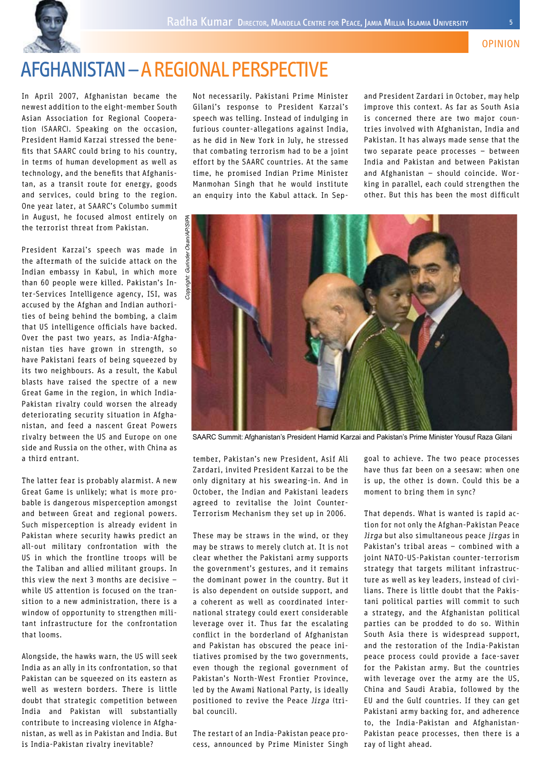

# **AFGHANISTAN - A REGIONAL PERSPECTIVE**

In April 2007, Afghanistan became the newest addition to the eight-member South Asian Association for Regional Cooperation (SAARC). Speaking on the occasion, President Hamid Karzai stressed the benefits that SAARC could bring to his country, in terms of human development as well as technology, and the benefits that Afghanistan, as a transit route for energy, goods and services, could bring to the region. One year later, at SAARC's Columbo summit in August, he focused almost entirely on the terrorist threat from Pakistan.

President Karzai's speech was made in the aftermath of the suicide attack on the Indian embassy in Kabul, in which more than 60 people were killed. Pakistan's Inter-Services Intelligence agency, ISI, was accused by the Afghan and Indian authorities of being behind the bombing, a claim that US intelligence officials have backed. Over the past two years, as India-Afghanistan ties have grown in strength, so have Pakistani fears of being squeezed by its two neighbours. As a result, the Kabul blasts have raised the spectre of a new Great Game in the region, in which India-Pakistan rivalry could worsen the already deteriorating security situation in Afghanistan, and feed a nascent Great Powers rivalry between the US and Europe on one side and Russia on the other, with China as a third entrant

The latter fear is probably alarmist. A new Great Game is unlikely; what is more probable is dangerous misperception amongst and between Great and regional powers. Such misperception is already evident in Pakistan where security hawks predict an all-out military confrontation with the US in which the frontline troops will be the Taliban and allied militant groups. In this view the next  $3$  months are decisive  $$ while US attention is focused on the transition to a new administration, there is a window of opportunity to strengthen militant infrastructure for the confrontation that looms

Alongside, the hawks warn, the US will seek India as an ally in its confrontation, so that Pakistan can be squeezed on its eastern as well as western borders. There is little doubt that strategic competition between India and Pakistan will substantially contribute to increasing violence in Afghanistan, as well as in Pakistan and India. But is India-Pakistan rivalry inevitable?

Not necessarily. Pakistani Prime Minister Gilani's response to President Karzai's speech was telling. Instead of indulging in furious counter-allegations against India, as he did in New York in July, he stressed that combating terrorism had to be a joint effort by the SAARC countries. At the same time, he promised Indian Prime Minister Manmohan Singh that he would institute an enquiry into the Kabul attack. In Sepand President Zardari in October, may help improve this context. As far as South Asia is concerned there are two major countries involved with Afghanistan, India and Pakistan. It has always made sense that the two separate peace processes - between India and Pakistan and between Pakistan and Afghanistan - should coincide. Working in parallel, each could strengthen the other. But this has been the most difficult



SAARC Summit: Afghanistan's President Hamid Karzai and Pakistan's Prime Minister Yousuf Raza Gilani

tember, Pakistan's new President, Asif Ali Zardari, invited President Karzai to be the only dignitary at his swearing-in. And in October, the Indian and Pakistani leaders agreed to revitalise the Joint Counter-Terrorism Mechanism they set up in 2006.

These may be straws in the wind, or they may be straws to merely clutch at. It is not clear whether the Pakistani army supports the government's gestures, and it remains the dominant power in the country. But it is also dependent on outside support, and a coherent as well as coordinated international strategy could exert considerable leverage over it. Thus far the escalating conflict in the borderland of Afghanistan and Pakistan has obscured the peace initiatives promised by the two governments, even though the regional government of Pakistan's North-West Frontier Province. led by the Awami National Party, is ideally positioned to revive the Peace Jirga (trihal council)

The restart of an India-Pakistan peace process, announced by Prime Minister Singh goal to achieve. The two peace processes have thus far been on a seesaw: when one is up, the other is down. Could this be a moment to bring them in sync?

That depends. What is wanted is rapid action for not only the Afghan-Pakistan Peace Jirga but also simultaneous peace jirgas in Pakistan's tribal areas - combined with a joint NATO-US-Pakistan counter-terrorism strategy that targets militant infrastructure as well as key leaders, instead of civilians. There is little doubt that the Pakistani political parties will commit to such a strategy, and the Afghanistan political parties can be prodded to do so. Within South Asia there is widespread support. and the restoration of the India-Pakistan peace process could provide a face-saver for the Pakistan army. But the countries with leverage over the army are the US. China and Saudi Arabia, followed by the EU and the Gulf countries. If they can get Pakistani army backing for, and adherence to, the India-Pakistan and Afghanistan-Pakistan peace processes, then there is a ray of light ahead.